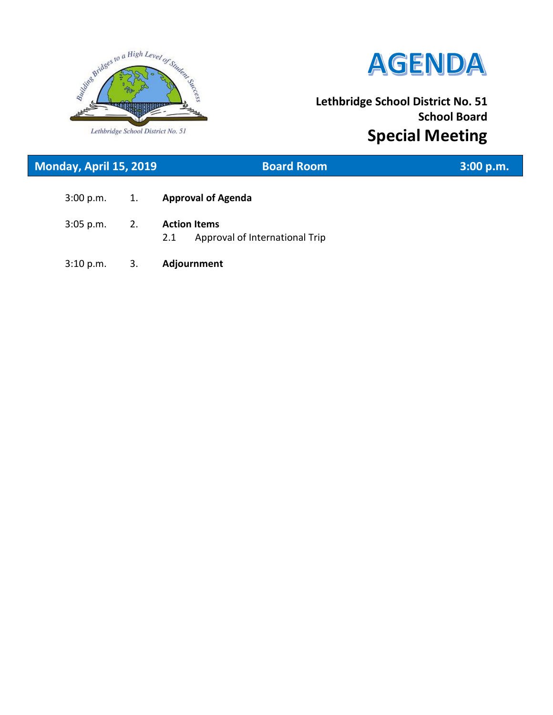

 $\overline{\phantom{a}}$ 



# **Lethbridge School District No. 51 School Board Special Meeting**

| Monday, April 15, 2019 |    | <b>Board Room</b>                                            | 3:00 p.m. |
|------------------------|----|--------------------------------------------------------------|-----------|
| 3:00 p.m.              | 1. | <b>Approval of Agenda</b>                                    |           |
| $3:05$ p.m.            | 2. | <b>Action Items</b><br>2.1<br>Approval of International Trip |           |
| 3:10 p.m.              | 3. | Adjournment                                                  |           |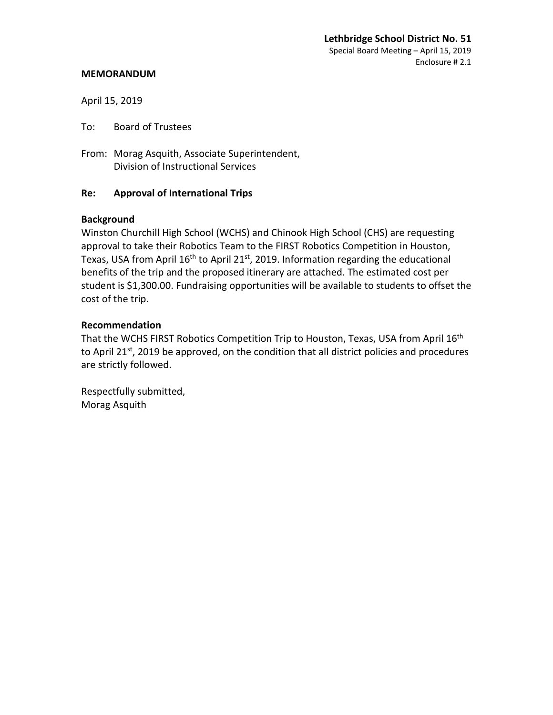### **MEMORANDUM**

April 15, 2019

To: Board of Trustees

From: Morag Asquith, Associate Superintendent, Division of Instructional Services

## **Re: Approval of International Trips**

## **Background**

Winston Churchill High School (WCHS) and Chinook High School (CHS) are requesting approval to take their Robotics Team to the FIRST Robotics Competition in Houston, Texas, USA from April  $16<sup>th</sup>$  to April 21st, 2019. Information regarding the educational benefits of the trip and the proposed itinerary are attached. The estimated cost per student is \$1,300.00. Fundraising opportunities will be available to students to offset the cost of the trip.

## **Recommendation**

That the WCHS FIRST Robotics Competition Trip to Houston, Texas, USA from April 16<sup>th</sup> to April 21<sup>st</sup>, 2019 be approved, on the condition that all district policies and procedures are strictly followed.

Respectfully submitted, Morag Asquith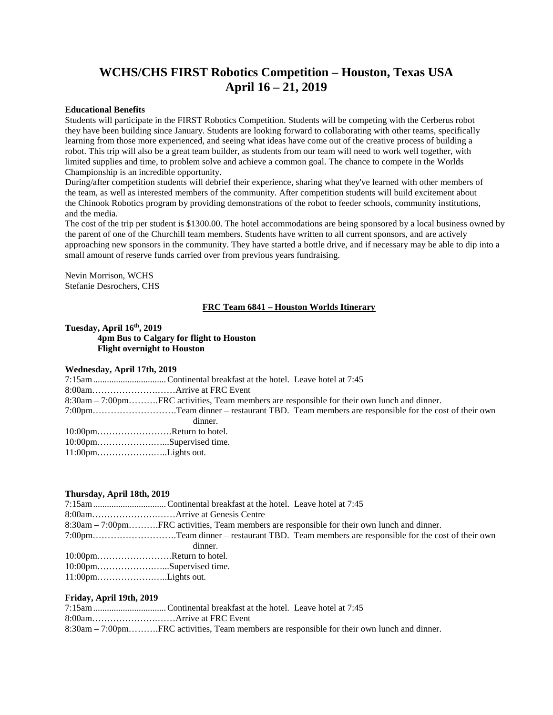## **WCHS/CHS FIRST Robotics Competition – Houston, Texas USA April 16 – 21, 2019**

#### **Educational Benefits**

Students will participate in the FIRST Robotics Competition. Students will be competing with the Cerberus robot they have been building since January. Students are looking forward to collaborating with other teams, specifically learning from those more experienced, and seeing what ideas have come out of the creative process of building a robot. This trip will also be a great team builder, as students from our team will need to work well together, with limited supplies and time, to problem solve and achieve a common goal. The chance to compete in the Worlds Championship is an incredible opportunity.

During/after competition students will debrief their experience, sharing what they've learned with other members of the team, as well as interested members of the community. After competition students will build excitement about the Chinook Robotics program by providing demonstrations of the robot to feeder schools, community institutions, and the media.

The cost of the trip per student is \$1300.00. The hotel accommodations are being sponsored by a local business owned by the parent of one of the Churchill team members. Students have written to all current sponsors, and are actively approaching new sponsors in the community. They have started a bottle drive, and if necessary may be able to dip into a small amount of reserve funds carried over from previous years fundraising.

Nevin Morrison, WCHS Stefanie Desrochers, CHS

#### **FRC Team 6841 – Houston Worlds Itinerary**

#### **Tuesday, April 16th, 2019 4pm Bus to Calgary for flight to Houston Flight overnight to Houston**

#### **Wednesday, April 17th, 2019**

| 8:30am – 7:00pmFRC activities, Team members are responsible for their own lunch and dinner. |                                                                                            |
|---------------------------------------------------------------------------------------------|--------------------------------------------------------------------------------------------|
|                                                                                             | 7:00pmTeam dinner – restaurant TBD. Team members are responsible for the cost of their own |
| dinner.                                                                                     |                                                                                            |
| 10:00pmReturn to hotel.                                                                     |                                                                                            |
| 10:00pmSupervised time.                                                                     |                                                                                            |
|                                                                                             |                                                                                            |

#### **Thursday, April 18th, 2019**

|                                                                                       | 8:30am – 7:00pmFRC activities, Team members are responsible for their own lunch and dinner. |
|---------------------------------------------------------------------------------------|---------------------------------------------------------------------------------------------|
|                                                                                       | 7:00pmTeam dinner – restaurant TBD. Team members are responsible for the cost of their own  |
|                                                                                       | dinner.                                                                                     |
| $10:00$ pmReturn to hotel.                                                            |                                                                                             |
| 10:00pmSupervised time.                                                               |                                                                                             |
| $11:00 \text{pm} \ldots \ldots \ldots \ldots \ldots \ldots \ldots \text{Lights}$ out. |                                                                                             |

#### **Friday, April 19th, 2019**

| 8:30am – 7:00pmFRC activities, Team members are responsible for their own lunch and dinner. |
|---------------------------------------------------------------------------------------------|